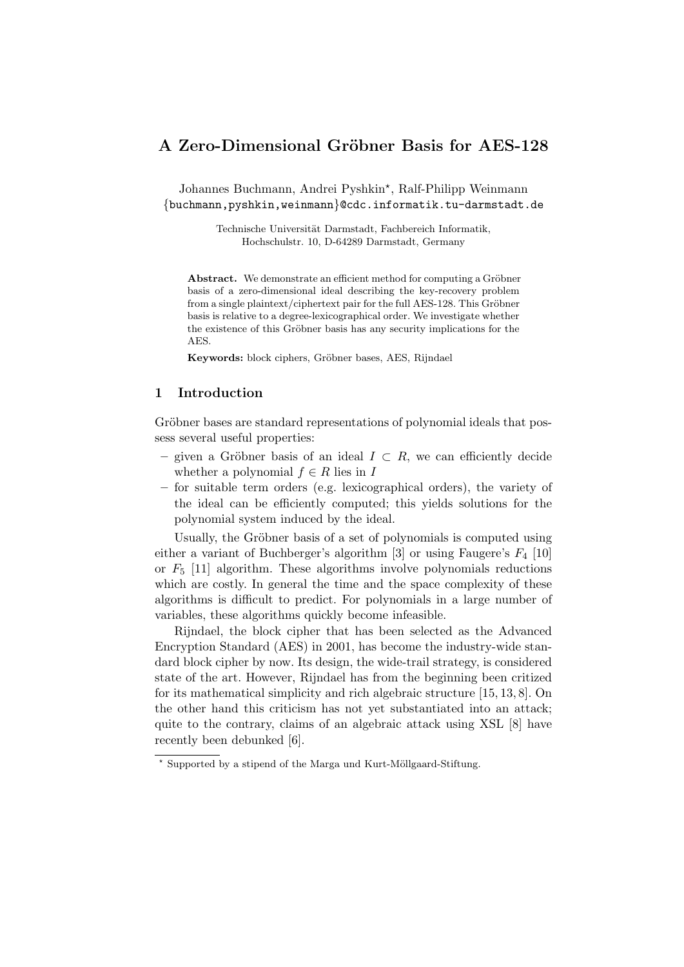# A Zero-Dimensional Gröbner Basis for AES-128

Johannes Buchmann, Andrei Pyshkin\*, Ralf-Philipp Weinmann {buchmann,pyshkin,weinmann}@cdc.informatik.tu-darmstadt.de

> Technische Universität Darmstadt, Fachbereich Informatik, Hochschulstr. 10, D-64289 Darmstadt, Germany

Abstract. We demonstrate an efficient method for computing a Gröbner basis of a zero-dimensional ideal describing the key-recovery problem from a single plaintext/ciphertext pair for the full AES-128. This Gröbner basis is relative to a degree-lexicographical order. We investigate whether the existence of this Gröbner basis has any security implications for the AES.

Keywords: block ciphers, Gröbner bases, AES, Rijndael

## 1 Introduction

Gröbner bases are standard representations of polynomial ideals that possess several useful properties:

- given a Gröbner basis of an ideal  $I \subset R$ , we can efficiently decide whether a polynomial  $f \in R$  lies in I
- for suitable term orders (e.g. lexicographical orders), the variety of the ideal can be efficiently computed; this yields solutions for the polynomial system induced by the ideal.

Usually, the Gröbner basis of a set of polynomials is computed using either a variant of Buchberger's algorithm [3] or using Faugere's  $F_4$  [10] or  $F_5$  [11] algorithm. These algorithms involve polynomials reductions which are costly. In general the time and the space complexity of these algorithms is difficult to predict. For polynomials in a large number of variables, these algorithms quickly become infeasible.

Rijndael, the block cipher that has been selected as the Advanced Encryption Standard (AES) in 2001, has become the industry-wide standard block cipher by now. Its design, the wide-trail strategy, is considered state of the art. However, Rijndael has from the beginning been critized for its mathematical simplicity and rich algebraic structure [15, 13, 8]. On the other hand this criticism has not yet substantiated into an attack; quite to the contrary, claims of an algebraic attack using XSL [8] have recently been debunked [6].

 $*$  Supported by a stipend of the Marga und Kurt-Möllgaard-Stiftung.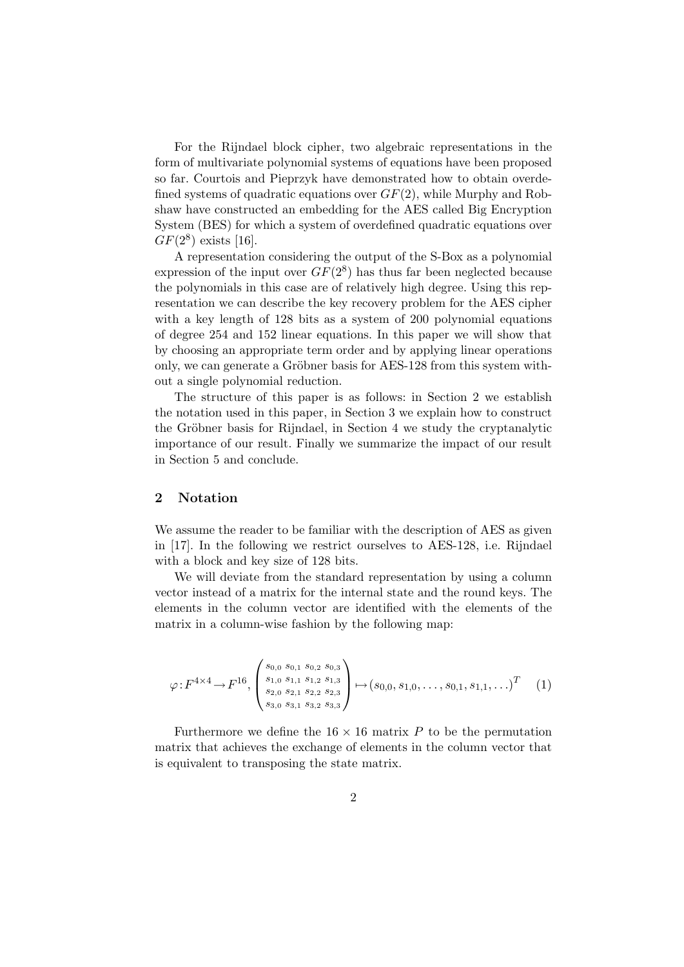For the Rijndael block cipher, two algebraic representations in the form of multivariate polynomial systems of equations have been proposed so far. Courtois and Pieprzyk have demonstrated how to obtain overdefined systems of quadratic equations over  $GF(2)$ , while Murphy and Robshaw have constructed an embedding for the AES called Big Encryption System (BES) for which a system of overdefined quadratic equations over  $GF(2^8)$  exists [16].

A representation considering the output of the S-Box as a polynomial expression of the input over  $GF(2^8)$  has thus far been neglected because the polynomials in this case are of relatively high degree. Using this representation we can describe the key recovery problem for the AES cipher with a key length of 128 bits as a system of 200 polynomial equations of degree 254 and 152 linear equations. In this paper we will show that by choosing an appropriate term order and by applying linear operations only, we can generate a Gröbner basis for AES-128 from this system without a single polynomial reduction.

The structure of this paper is as follows: in Section 2 we establish the notation used in this paper, in Section 3 we explain how to construct the Gröbner basis for Rijndael, in Section 4 we study the cryptanalytic importance of our result. Finally we summarize the impact of our result in Section 5 and conclude.

## 2 Notation

We assume the reader to be familiar with the description of AES as given in [17]. In the following we restrict ourselves to AES-128, i.e. Rijndael with a block and key size of 128 bits.

We will deviate from the standard representation by using a column vector instead of a matrix for the internal state and the round keys. The elements in the column vector are identified with the elements of the matrix in a column-wise fashion by the following map:

$$
\varphi: F^{4 \times 4} \to F^{16}, \begin{pmatrix} s_{0,0} & s_{0,1} & s_{0,2} & s_{0,3} \\ s_{1,0} & s_{1,1} & s_{1,2} & s_{1,3} \\ s_{2,0} & s_{2,1} & s_{2,2} & s_{2,3} \\ s_{3,0} & s_{3,1} & s_{3,2} & s_{3,3} \end{pmatrix} \mapsto (s_{0,0}, s_{1,0}, \dots, s_{0,1}, s_{1,1}, \dots)^T \tag{1}
$$

Furthermore we define the  $16 \times 16$  matrix P to be the permutation matrix that achieves the exchange of elements in the column vector that is equivalent to transposing the state matrix.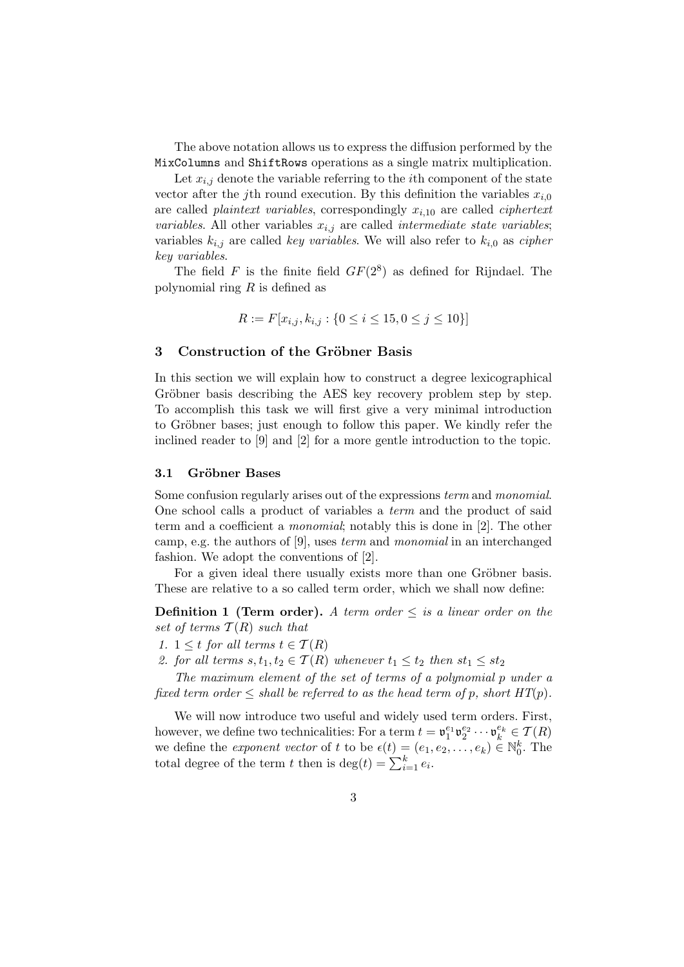The above notation allows us to express the diffusion performed by the MixColumns and ShiftRows operations as a single matrix multiplication.

Let  $x_{i,j}$  denote the variable referring to the *i*th component of the state vector after the j<sup>th</sup> round execution. By this definition the variables  $x_{i,0}$ are called *plaintext variables*, correspondingly  $x_{i,10}$  are called *ciphertext variables.* All other variables  $x_{i,j}$  are called *intermediate state variables*; variables  $k_{i,j}$  are called key variables. We will also refer to  $k_{i,0}$  as cipher key variables.

The field F is the finite field  $GF(2^8)$  as defined for Rijndael. The polynomial ring  $R$  is defined as

$$
R := F[x_{i,j}, k_{i,j} : \{0 \le i \le 15, 0 \le j \le 10\}]
$$

#### 3 Construction of the Gröbner Basis

In this section we will explain how to construct a degree lexicographical Gröbner basis describing the AES key recovery problem step by step. To accomplish this task we will first give a very minimal introduction to Gröbner bases; just enough to follow this paper. We kindly refer the inclined reader to [9] and [2] for a more gentle introduction to the topic.

#### 3.1 Gröbner Bases

Some confusion regularly arises out of the expressions term and monomial. One school calls a product of variables a term and the product of said term and a coefficient a monomial; notably this is done in [2]. The other camp, e.g. the authors of [9], uses term and monomial in an interchanged fashion. We adopt the conventions of [2].

For a given ideal there usually exists more than one Gröbner basis. These are relative to a so called term order, which we shall now define:

**Definition 1 (Term order).** A term order  $\leq$  is a linear order on the set of terms  $T(R)$  such that

1.  $1 \leq t$  for all terms  $t \in \mathcal{T}(R)$ 

2. for all terms  $s, t_1, t_2 \in \mathcal{T}(R)$  whenever  $t_1 \leq t_2$  then  $st_1 \leq st_2$ 

The maximum element of the set of terms of a polynomial p under a fixed term order  $\leq$  shall be referred to as the head term of p, short  $HT(p)$ .

We will now introduce two useful and widely used term orders. First, however, we define two technicalities: For a term  $t = \mathfrak{v}_1^{e_1} \mathfrak{v}_2^{e_2} \cdots \mathfrak{v}_k^{e_k} \in \mathcal{T}(R)$ we define the *exponent vector* of t to be  $\epsilon(t) = (e_1, e_2, \ldots, e_k) \in \mathbb{N}_0^k$ . The total degree of the term t then is  $\deg(t) = \sum_{i=1}^{k} e_i$ .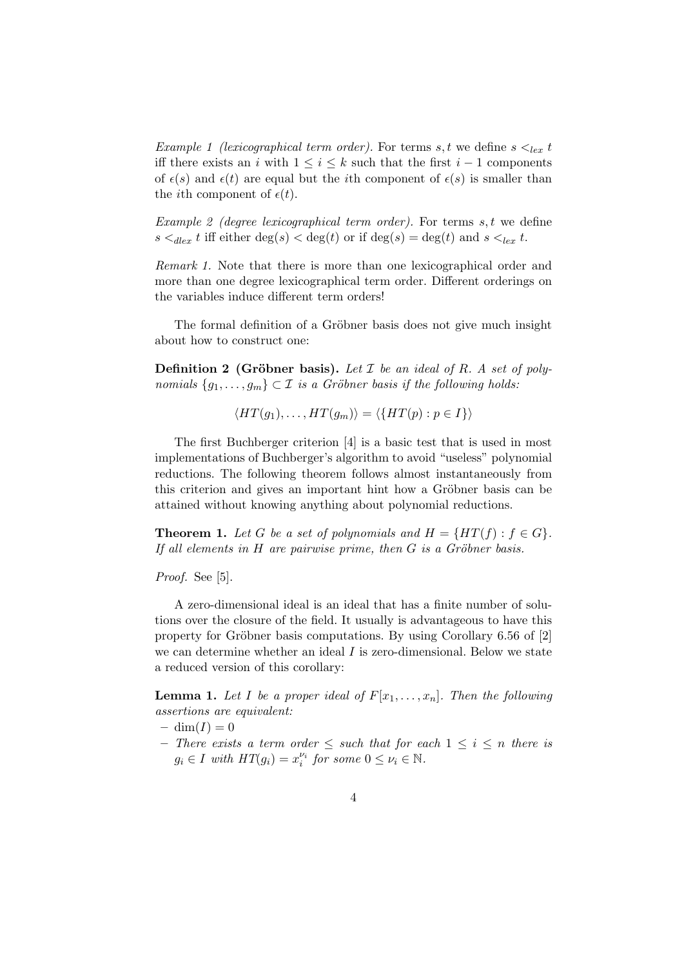Example 1 (lexicographical term order). For terms s, t we define  $s \leq_{lex} t$ iff there exists an i with  $1 \leq i \leq k$  such that the first  $i-1$  components of  $\epsilon(s)$  and  $\epsilon(t)$  are equal but the *i*th component of  $\epsilon(s)$  is smaller than the *i*th component of  $\epsilon(t)$ .

Example 2 (degree lexicographical term order). For terms  $s, t$  we define  $s <_{\text{dlex}} t$  iff either  $\deg(s) < \deg(t)$  or if  $\deg(s) = \deg(t)$  and  $s <_{\text{lex}} t$ .

Remark 1. Note that there is more than one lexicographical order and more than one degree lexicographical term order. Different orderings on the variables induce different term orders!

The formal definition of a Gröbner basis does not give much insight about how to construct one:

**Definition 2 (Gröbner basis).** Let  $\mathcal I$  be an ideal of  $R$ . A set of polynomials  $\{g_1, \ldots, g_m\} \subset \mathcal{I}$  is a Gröbner basis if the following holds:

$$
\langle HT(g_1), \ldots, HT(g_m) \rangle = \langle \{HT(p) : p \in I \} \rangle
$$

The first Buchberger criterion [4] is a basic test that is used in most implementations of Buchberger's algorithm to avoid "useless" polynomial reductions. The following theorem follows almost instantaneously from this criterion and gives an important hint how a Gröbner basis can be attained without knowing anything about polynomial reductions.

**Theorem 1.** Let G be a set of polynomials and  $H = \{HT(f) : f \in G\}.$ If all elements in  $H$  are pairwise prime, then  $G$  is a Gröbner basis.

#### Proof. See [5].

A zero-dimensional ideal is an ideal that has a finite number of solutions over the closure of the field. It usually is advantageous to have this property for Gröbner basis computations. By using Corollary  $6.56$  of  $[2]$ we can determine whether an ideal  $I$  is zero-dimensional. Below we state a reduced version of this corollary:

**Lemma 1.** Let I be a proper ideal of  $F[x_1, \ldots, x_n]$ . Then the following assertions are equivalent:

 $-\dim(I) = 0$ 

– There exists a term order ≤ such that for each 1 ≤ i ≤ n there is  $g_i \in I$  with  $HT(g_i) = x_i^{\nu_i}$  for some  $0 \le \nu_i \in \mathbb{N}$ .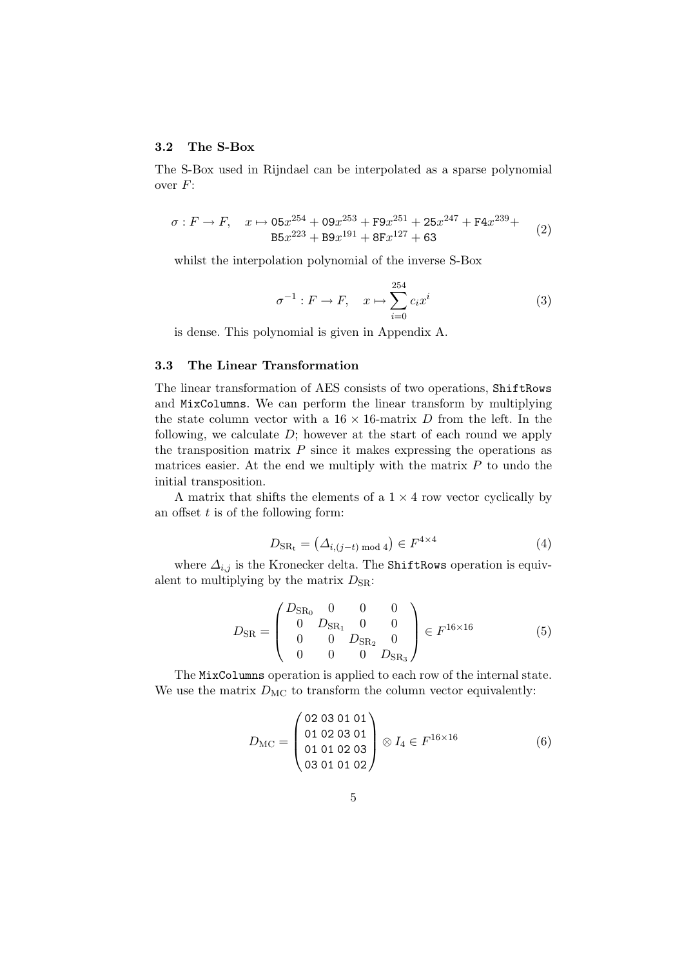## 3.2 The S-Box

The S-Box used in Rijndael can be interpolated as a sparse polynomial over F:

$$
\sigma: F \to F, \quad x \mapsto 05x^{254} + 09x^{253} + F9x^{251} + 25x^{247} + F4x^{239} +
$$
  
\n
$$
B5x^{223} + B9x^{191} + 8Fx^{127} + 63
$$
\n(2)

whilst the interpolation polynomial of the inverse S-Box

$$
\sigma^{-1}: F \to F, \quad x \mapsto \sum_{i=0}^{254} c_i x^i \tag{3}
$$

is dense. This polynomial is given in Appendix A.

## 3.3 The Linear Transformation

The linear transformation of AES consists of two operations, ShiftRows and MixColumns. We can perform the linear transform by multiplying the state column vector with a  $16 \times 16$ -matrix D from the left. In the following, we calculate  $D$ ; however at the start of each round we apply the transposition matrix  $P$  since it makes expressing the operations as matrices easier. At the end we multiply with the matrix  $P$  to undo the initial transposition.

A matrix that shifts the elements of a  $1 \times 4$  row vector cyclically by an offset  $t$  is of the following form:

$$
D_{\text{SR}_{\text{t}}} = (\Delta_{i,(j-t) \text{ mod } 4}) \in F^{4 \times 4} \tag{4}
$$

where  $\Delta_{i,j}$  is the Kronecker delta. The ShiftRows operation is equivalent to multiplying by the matrix  $D_{\text{SR}}$ :

$$
D_{\rm SR} = \begin{pmatrix} D_{\rm SR_0} & 0 & 0 & 0 \\ 0 & D_{\rm SR_1} & 0 & 0 \\ 0 & 0 & D_{\rm SR_2} & 0 \\ 0 & 0 & 0 & D_{\rm SR_3} \end{pmatrix} \in F^{16 \times 16} \tag{5}
$$

The MixColumns operation is applied to each row of the internal state. We use the matrix  $D_{MC}$  to transform the column vector equivalently:

$$
D_{\rm MC} = \begin{pmatrix} 02\ 03\ 01\ 02\ 03\ 01 \end{pmatrix} \otimes I_4 \in F^{16 \times 16} \tag{6}
$$
  

$$
\begin{pmatrix} 03\ 01\ 01\ 02\ 03 \end{pmatrix} \otimes I_4 \in F^{16 \times 16}
$$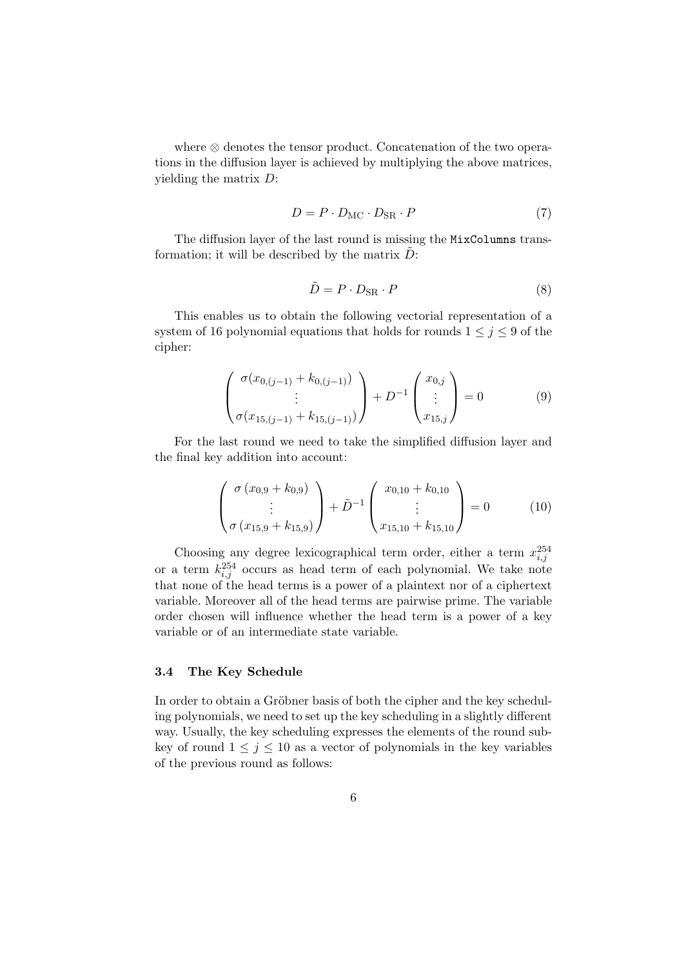where ⊗ denotes the tensor product. Concatenation of the two operations in the diffusion layer is achieved by multiplying the above matrices, yielding the matrix D:

$$
D = P \cdot D_{\text{MC}} \cdot D_{\text{SR}} \cdot P \tag{7}
$$

The diffusion layer of the last round is missing the MixColumns transformation; it will be described by the matrix  $D$ :

$$
\tilde{D} = P \cdot D_{\text{SR}} \cdot P \tag{8}
$$

This enables us to obtain the following vectorial representation of a system of 16 polynomial equations that holds for rounds  $1 \leq j \leq 9$  of the cipher:

$$
\begin{pmatrix}\n\sigma(x_{0,(j-1)} + k_{0,(j-1)}) \\
\vdots \\
\sigma(x_{15,(j-1)} + k_{15,(j-1)})\n\end{pmatrix} + D^{-1} \begin{pmatrix}\nx_{0,j} \\
\vdots \\
x_{15,j}\n\end{pmatrix} = 0
$$
\n(9)

For the last round we need to take the simplified diffusion layer and the final key addition into account:

$$
\begin{pmatrix}\n\sigma (x_{0,9} + k_{0,9}) \\
\vdots \\
\sigma (x_{15,9} + k_{15,9})\n\end{pmatrix} + \tilde{D}^{-1} \begin{pmatrix}\nx_{0,10} + k_{0,10} \\
\vdots \\
x_{15,10} + k_{15,10}\n\end{pmatrix} = 0
$$
\n(10)

Choosing any degree lexicographical term order, either a term  $x_{i,j}^{254}$ or a term  $k_{i,j}^{254}$  occurs as head term of each polynomial. We take note that none of the head terms is a power of a plaintext nor of a ciphertext variable. Moreover all of the head terms are pairwise prime. The variable order chosen will influence whether the head term is a power of a key variable or of an intermediate state variable.

## 3.4 The Key Schedule

In order to obtain a Gröbner basis of both the cipher and the key scheduling polynomials, we need to set up the key scheduling in a slightly different way. Usually, the key scheduling expresses the elements of the round subkey of round  $1 \leq j \leq 10$  as a vector of polynomials in the key variables of the previous round as follows: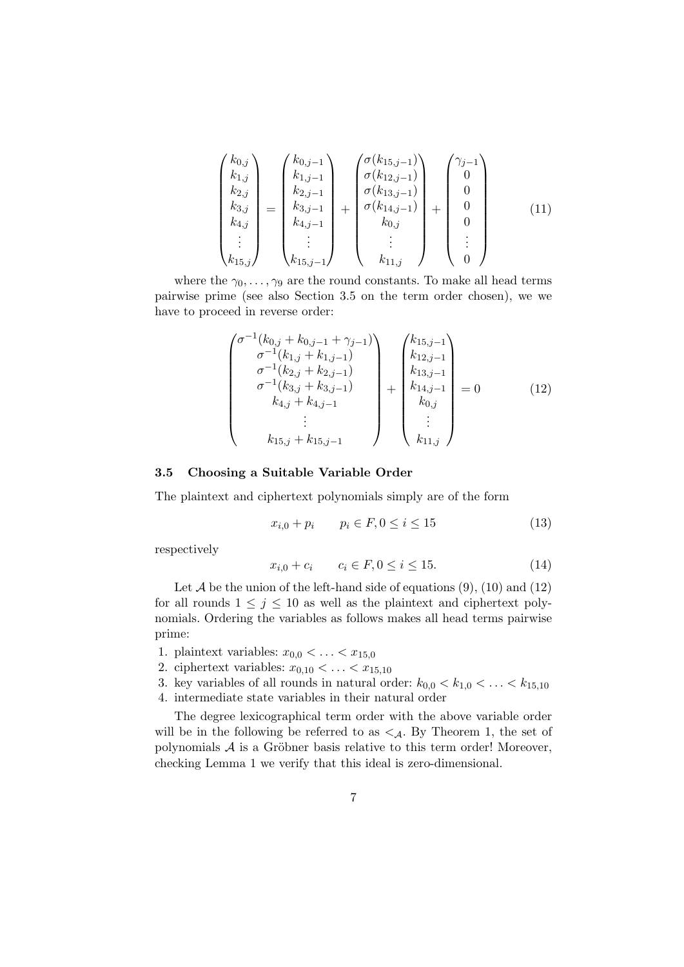$$
\begin{pmatrix} k_{0,j} \\ k_{1,j} \\ k_{2,j} \\ k_{3,j} \\ k_{4,j} \\ \vdots \\ k_{15,j} \end{pmatrix} = \begin{pmatrix} k_{0,j-1} \\ k_{1,j-1} \\ k_{2,j-1} \\ k_{3,j-1} \\ k_{4,j-1} \\ \vdots \\ k_{15,j-1} \end{pmatrix} + \begin{pmatrix} \sigma(k_{15,j-1}) \\ \sigma(k_{12,j-1}) \\ \sigma(k_{13,j-1}) \\ \sigma(k_{14,j-1}) \\ k_{0,j} \\ k_{0,j} \\ \vdots \\ k_{11,j} \end{pmatrix} + \begin{pmatrix} \gamma_{j-1} \\ 0 \\ 0 \\ 0 \\ \vdots \\ 0 \end{pmatrix}
$$
(11)

where the  $\gamma_0, \ldots, \gamma_9$  are the round constants. To make all head terms pairwise prime (see also Section 3.5 on the term order chosen), we we have to proceed in reverse order:

$$
\begin{pmatrix}\n\sigma^{-1}(k_{0,j} + k_{0,j-1} + \gamma_{j-1}) \\
\sigma^{-1}(k_{1,j} + k_{1,j-1}) \\
\sigma^{-1}(k_{2,j} + k_{2,j-1}) \\
\sigma^{-1}(k_{3,j} + k_{3,j-1}) \\
k_{4,j} + k_{4,j-1} \\
\vdots \\
k_{15,j} + k_{15,j-1}\n\end{pmatrix} + \begin{pmatrix}\nk_{15,j-1} \\
k_{12,j-1} \\
k_{13,j-1} \\
k_{14,j-1} \\
k_{0,j} \\
\vdots \\
k_{11,j}\n\end{pmatrix} = 0
$$
\n(12)

#### 3.5 Choosing a Suitable Variable Order

The plaintext and ciphertext polynomials simply are of the form

$$
x_{i,0} + p_i \qquad p_i \in F, 0 \le i \le 15 \tag{13}
$$

respectively

$$
x_{i,0} + c_i \qquad c_i \in F, 0 \le i \le 15. \tag{14}
$$

Let  $A$  be the union of the left-hand side of equations  $(9)$ ,  $(10)$  and  $(12)$ for all rounds  $1 \leq j \leq 10$  as well as the plaintext and ciphertext polynomials. Ordering the variables as follows makes all head terms pairwise prime:

- 1. plaintext variables:  $x_{0,0} < \ldots < x_{15,0}$
- 2. ciphertext variables:  $x_{0,10} < \ldots < x_{15,10}$
- 3. key variables of all rounds in natural order:  $k_{0,0} < k_{1,0} < \ldots < k_{15,10}$
- 4. intermediate state variables in their natural order

The degree lexicographical term order with the above variable order will be in the following be referred to as  $\lt A$ . By Theorem 1, the set of polynomials  $A$  is a Gröbner basis relative to this term order! Moreover, checking Lemma 1 we verify that this ideal is zero-dimensional.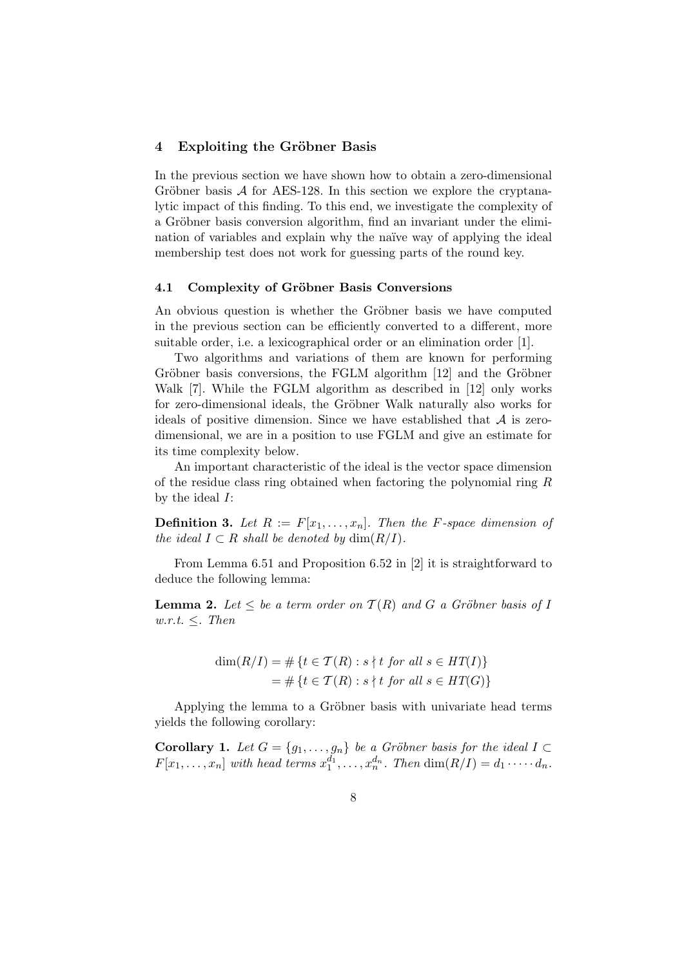### 4 Exploiting the Gröbner Basis

In the previous section we have shown how to obtain a zero-dimensional Gröbner basis  $\mathcal A$  for AES-128. In this section we explore the cryptanalytic impact of this finding. To this end, we investigate the complexity of a Gröbner basis conversion algorithm, find an invariant under the elimination of variables and explain why the naïve way of applying the ideal membership test does not work for guessing parts of the round key.

### 4.1 Complexity of Gröbner Basis Conversions

An obvious question is whether the Gröbner basis we have computed in the previous section can be efficiently converted to a different, more suitable order, i.e. a lexicographical order or an elimination order [1].

Two algorithms and variations of them are known for performing Gröbner basis conversions, the FGLM algorithm [12] and the Gröbner Walk [7]. While the FGLM algorithm as described in [12] only works for zero-dimensional ideals, the Gröbner Walk naturally also works for ideals of positive dimension. Since we have established that  $A$  is zerodimensional, we are in a position to use FGLM and give an estimate for its time complexity below.

An important characteristic of the ideal is the vector space dimension of the residue class ring obtained when factoring the polynomial ring R by the ideal  $I$ :

**Definition 3.** Let  $R := F[x_1, \ldots, x_n]$ . Then the *F*-space dimension of the ideal  $I \subset R$  shall be denoted by  $\dim(R/I)$ .

From Lemma 6.51 and Proposition 6.52 in [2] it is straightforward to deduce the following lemma:

**Lemma 2.** Let  $\leq$  be a term order on  $T(R)$  and G a Gröbner basis of I  $w.r.t. \leq r$  Then

$$
\dim(R/I) = \# \{ t \in \mathcal{T}(R) : s \nmid t \text{ for all } s \in HT(I) \}
$$

$$
= \# \{ t \in \mathcal{T}(R) : s \nmid t \text{ for all } s \in HT(G) \}
$$

Applying the lemma to a Gröbner basis with univariate head terms yields the following corollary:

**Corollary 1.** Let  $G = \{g_1, \ldots, g_n\}$  be a Gröbner basis for the ideal  $I \subset$  $F[x_1, \ldots, x_n]$  with head terms  $x_1^{d_1}, \ldots, x_n^{d_n}$ . Then  $\dim(R/I) = d_1 \cdots \cdots d_n$ .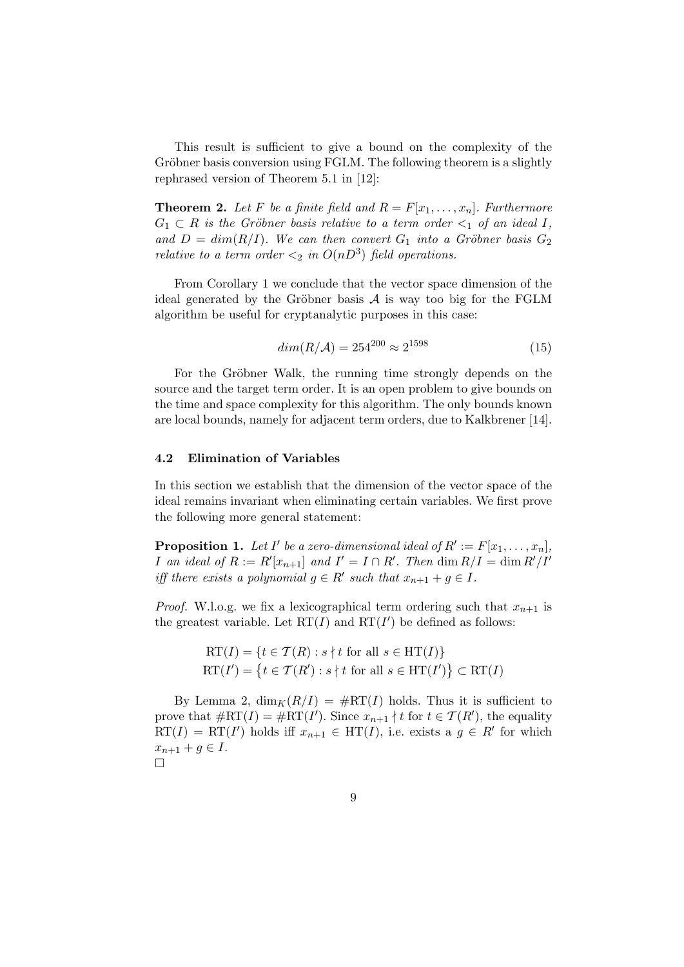This result is sufficient to give a bound on the complexity of the Gröbner basis conversion using FGLM. The following theorem is a slightly rephrased version of Theorem 5.1 in [12]:

**Theorem 2.** Let F be a finite field and  $R = F[x_1, \ldots, x_n]$ . Furthermore  $G_1 \subset R$  is the Gröbner basis relative to a term order  $\lt_1$  of an ideal I, and  $D = dim(R/I)$ . We can then convert  $G_1$  into a Gröbner basis  $G_2$ relative to a term order  $\langle 2 \text{ in } O(nD^3) \text{ field operations.}$ 

From Corollary 1 we conclude that the vector space dimension of the ideal generated by the Gröbner basis  $A$  is way too big for the FGLM algorithm be useful for cryptanalytic purposes in this case:

$$
dim(R/\mathcal{A}) = 254^{200} \approx 2^{1598} \tag{15}
$$

For the Gröbner Walk, the running time strongly depends on the source and the target term order. It is an open problem to give bounds on the time and space complexity for this algorithm. The only bounds known are local bounds, namely for adjacent term orders, due to Kalkbrener [14].

#### 4.2 Elimination of Variables

In this section we establish that the dimension of the vector space of the ideal remains invariant when eliminating certain variables. We first prove the following more general statement:

**Proposition 1.** Let I' be a zero-dimensional ideal of  $R' := F[x_1, \ldots, x_n]$ , *I* an ideal of  $R := R'[x_{n+1}]$  and  $I' = I \cap R'$ . Then  $\dim R/I = \dim R'/I'$ iff there exists a polynomial  $g \in R'$  such that  $x_{n+1} + g \in I$ .

*Proof.* W.l.o.g. we fix a lexicographical term ordering such that  $x_{n+1}$  is the greatest variable. Let  $RT(I)$  and  $RT(I')$  be defined as follows:

$$
RT(I) = \{t \in T(R) : s \nmid t \text{ for all } s \in HT(I)\}
$$
  

$$
RT(I') = \{t \in T(R') : s \nmid t \text{ for all } s \in HT(I')\} \subset RT(I)
$$

By Lemma 2,  $\dim_K(R/I) = \#RT(I)$  holds. Thus it is sufficient to prove that  $\#\mathrm{RT}(I) = \#\mathrm{RT}(I')$ . Since  $x_{n+1} \nmid t$  for  $t \in \mathcal{T}(R')$ , the equality  $RT(I) = RT(I')$  holds iff  $x_{n+1} \in HT(I)$ , i.e. exists a  $g \in R'$  for which  $x_{n+1} + g \in I$ .  $\Box$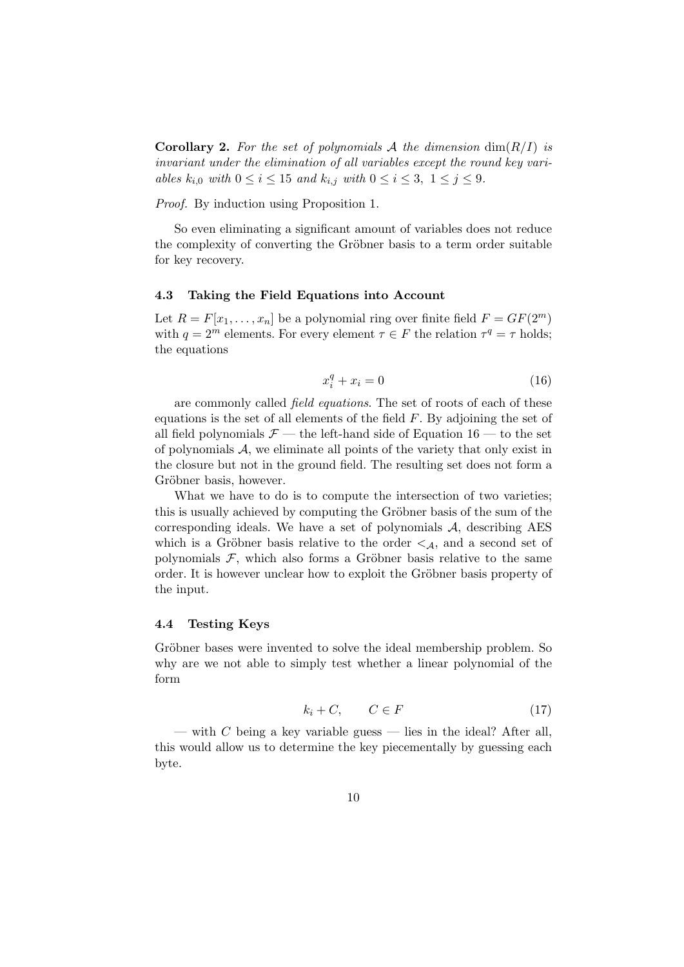**Corollary 2.** For the set of polynomials A the dimension  $\dim(R/I)$  is invariant under the elimination of all variables except the round key variables  $k_{i,0}$  with  $0 \leq i \leq 15$  and  $k_{i,j}$  with  $0 \leq i \leq 3, 1 \leq j \leq 9$ .

Proof. By induction using Proposition 1.

So even eliminating a significant amount of variables does not reduce the complexity of converting the Gröbner basis to a term order suitable for key recovery.

#### 4.3 Taking the Field Equations into Account

Let  $R = F[x_1, \ldots, x_n]$  be a polynomial ring over finite field  $F = GF(2^m)$ with  $q = 2^m$  elements. For every element  $\tau \in F$  the relation  $\tau^q = \tau$  holds; the equations

$$
x_i^q + x_i = 0 \tag{16}
$$

are commonly called *field equations*. The set of roots of each of these equations is the set of all elements of the field  $F$ . By adjoining the set of all field polynomials  $\mathcal{F}$  — the left-hand side of Equation 16 — to the set of polynomials  $A$ , we eliminate all points of the variety that only exist in the closure but not in the ground field. The resulting set does not form a Gröbner basis, however.

What we have to do is to compute the intersection of two varieties; this is usually achieved by computing the Gröbner basis of the sum of the corresponding ideals. We have a set of polynomials  $A$ , describing AES which is a Gröbner basis relative to the order  $\leq_{\mathcal{A}}$ , and a second set of polynomials  $F$ , which also forms a Gröbner basis relative to the same order. It is however unclear how to exploit the Gröbner basis property of the input.

#### 4.4 Testing Keys

Gröbner bases were invented to solve the ideal membership problem. So why are we not able to simply test whether a linear polynomial of the form

$$
k_i + C, \qquad C \in F \tag{17}
$$

— with C being a key variable guess — lies in the ideal? After all, this would allow us to determine the key piecementally by guessing each byte.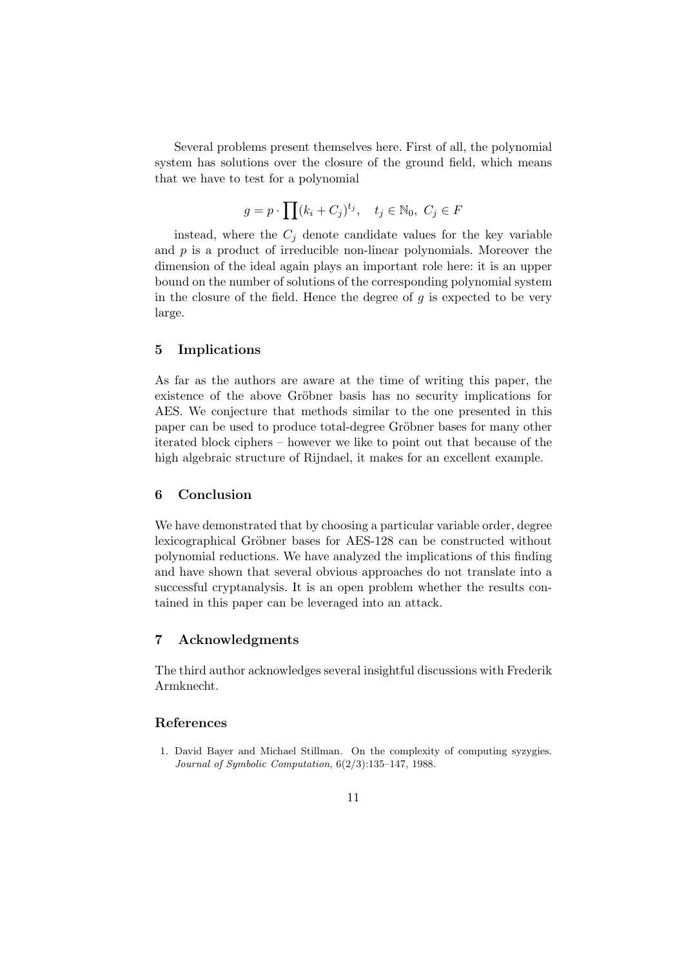Several problems present themselves here. First of all, the polynomial system has solutions over the closure of the ground field, which means that we have to test for a polynomial

$$
g = p \cdot \prod (k_i + C_j)^{t_j}, \quad t_j \in \mathbb{N}_0, \ C_j \in F
$$

instead, where the  $C_i$  denote candidate values for the key variable and  $p$  is a product of irreducible non-linear polynomials. Moreover the dimension of the ideal again plays an important role here: it is an upper bound on the number of solutions of the corresponding polynomial system in the closure of the field. Hence the degree of  $q$  is expected to be very large.

#### 5 Implications

As far as the authors are aware at the time of writing this paper, the existence of the above Gröbner basis has no security implications for AES. We conjecture that methods similar to the one presented in this paper can be used to produce total-degree Gröbner bases for many other iterated block ciphers – however we like to point out that because of the high algebraic structure of Rijndael, it makes for an excellent example.

# 6 Conclusion

We have demonstrated that by choosing a particular variable order, degree lexicographical Gröbner bases for AES-128 can be constructed without polynomial reductions. We have analyzed the implications of this finding and have shown that several obvious approaches do not translate into a successful cryptanalysis. It is an open problem whether the results contained in this paper can be leveraged into an attack.

## 7 Acknowledgments

The third author acknowledges several insightful discussions with Frederik Armknecht.

# References

1. David Bayer and Michael Stillman. On the complexity of computing syzygies. Journal of Symbolic Computation, 6(2/3):135–147, 1988.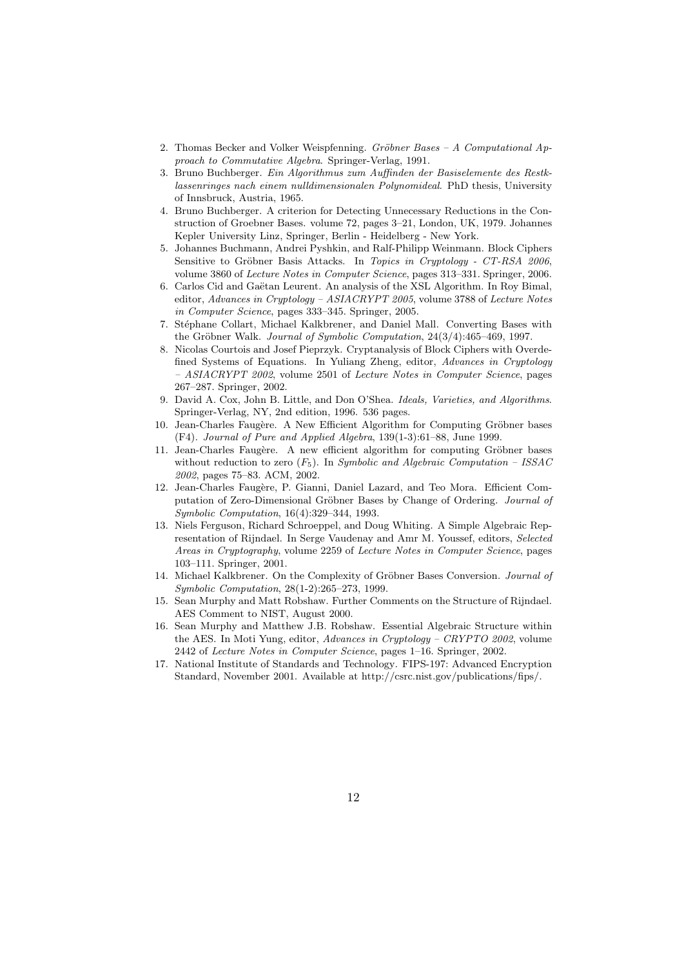- 2. Thomas Becker and Volker Weispfenning. Gröbner Bases A Computational Approach to Commutative Algebra. Springer-Verlag, 1991.
- 3. Bruno Buchberger. Ein Algorithmus zum Auffinden der Basiselemente des Restklassenringes nach einem nulldimensionalen Polynomideal. PhD thesis, University of Innsbruck, Austria, 1965.
- 4. Bruno Buchberger. A criterion for Detecting Unnecessary Reductions in the Construction of Groebner Bases. volume 72, pages 3–21, London, UK, 1979. Johannes Kepler University Linz, Springer, Berlin - Heidelberg - New York.
- 5. Johannes Buchmann, Andrei Pyshkin, and Ralf-Philipp Weinmann. Block Ciphers Sensitive to Gröbner Basis Attacks. In Topics in Cruptology - CT-RSA 2006, volume 3860 of Lecture Notes in Computer Science, pages 313–331. Springer, 2006.
- 6. Carlos Cid and Gaëtan Leurent. An analysis of the XSL Algorithm. In Roy Bimal, editor, Advances in Cryptology – ASIACRYPT 2005, volume 3788 of Lecture Notes in Computer Science, pages 333–345. Springer, 2005.
- 7. Stéphane Collart, Michael Kalkbrener, and Daniel Mall. Converting Bases with the Gröbner Walk. Journal of Symbolic Computation,  $24(3/4)$ :465-469, 1997.
- 8. Nicolas Courtois and Josef Pieprzyk. Cryptanalysis of Block Ciphers with Overdefined Systems of Equations. In Yuliang Zheng, editor, Advances in Cryptology – ASIACRYPT 2002, volume 2501 of Lecture Notes in Computer Science, pages 267–287. Springer, 2002.
- 9. David A. Cox, John B. Little, and Don O'Shea. Ideals, Varieties, and Algorithms. Springer-Verlag, NY, 2nd edition, 1996. 536 pages.
- 10. Jean-Charles Faugère. A New Efficient Algorithm for Computing Gröbner bases (F4). Journal of Pure and Applied Algebra, 139(1-3):61–88, June 1999.
- 11. Jean-Charles Faugère. A new efficient algorithm for computing Gröbner bases without reduction to zero  $(F_5)$ . In Symbolic and Algebraic Computation – ISSAC 2002, pages 75–83. ACM, 2002.
- 12. Jean-Charles Faugère, P. Gianni, Daniel Lazard, and Teo Mora. Efficient Computation of Zero-Dimensional Gröbner Bases by Change of Ordering. Journal of Symbolic Computation, 16(4):329–344, 1993.
- 13. Niels Ferguson, Richard Schroeppel, and Doug Whiting. A Simple Algebraic Representation of Rijndael. In Serge Vaudenay and Amr M. Youssef, editors, Selected Areas in Cryptography, volume 2259 of Lecture Notes in Computer Science, pages 103–111. Springer, 2001.
- 14. Michael Kalkbrener. On the Complexity of Gröbner Bases Conversion. Journal of Symbolic Computation, 28(1-2):265–273, 1999.
- 15. Sean Murphy and Matt Robshaw. Further Comments on the Structure of Rijndael. AES Comment to NIST, August 2000.
- 16. Sean Murphy and Matthew J.B. Robshaw. Essential Algebraic Structure within the AES. In Moti Yung, editor, Advances in Cryptology – CRYPTO 2002, volume 2442 of Lecture Notes in Computer Science, pages 1–16. Springer, 2002.
- 17. National Institute of Standards and Technology. FIPS-197: Advanced Encryption Standard, November 2001. Available at http://csrc.nist.gov/publications/fips/.